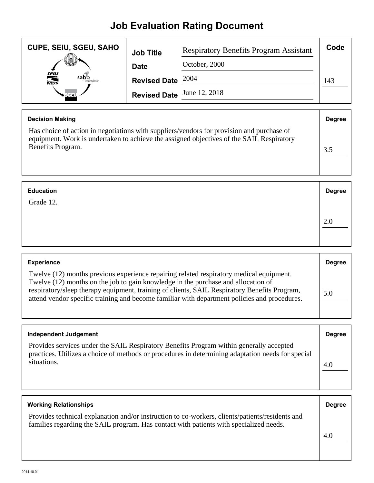## **Job Evaluation Rating Document**

| <b>CUPE, SEIU, SGEU, SAHO</b> | <b>Job Title</b>           | <b>Respiratory Benefits Program Assistant</b> | Code |
|-------------------------------|----------------------------|-----------------------------------------------|------|
| VII.                          | <b>Date</b>                | October, 2000                                 |      |
| <b>SEIU</b><br>WEST-<br>sahlo | Revised Date $2004$        |                                               | 143  |
| <b>SCEL</b>                   | Revised Date June 12, 2018 |                                               |      |

| <b>Decision Making</b>                                                                                                                                                                                     | <b>Degree</b> |
|------------------------------------------------------------------------------------------------------------------------------------------------------------------------------------------------------------|---------------|
| Has choice of action in negotiations with suppliers/vendors for provision and purchase of<br>equipment. Work is undertaken to achieve the assigned objectives of the SAIL Respiratory<br>Benefits Program. |               |

| <b>Education</b> | <b>Degree</b> |
|------------------|---------------|
| Grade 12.        |               |
|                  | 2.0           |
|                  |               |

| <b>Experience</b>                                                                                                                                                                                                                                                                                                                                                            | <b>Degree</b> |
|------------------------------------------------------------------------------------------------------------------------------------------------------------------------------------------------------------------------------------------------------------------------------------------------------------------------------------------------------------------------------|---------------|
| Twelve (12) months previous experience repairing related respiratory medical equipment.<br>Twelve (12) months on the job to gain knowledge in the purchase and allocation of<br>respiratory/sleep therapy equipment, training of clients, SAIL Respiratory Benefits Program,<br>attend vendor specific training and become familiar with department policies and procedures. | 5.0           |

| Independent Judgement                                                                                                                                                                                       | <b>Degree</b> |
|-------------------------------------------------------------------------------------------------------------------------------------------------------------------------------------------------------------|---------------|
| Provides services under the SAIL Respiratory Benefits Program within generally accepted<br>practices. Utilizes a choice of methods or procedures in determining adaptation needs for special<br>situations. | 4.0           |

| <b>Working Relationships</b>                                                                                                                                                              | <b>Degree</b> |
|-------------------------------------------------------------------------------------------------------------------------------------------------------------------------------------------|---------------|
| Provides technical explanation and/or instruction to co-workers, clients/patients/residents and<br>families regarding the SAIL program. Has contact with patients with specialized needs. |               |
|                                                                                                                                                                                           | 4.0           |
|                                                                                                                                                                                           |               |